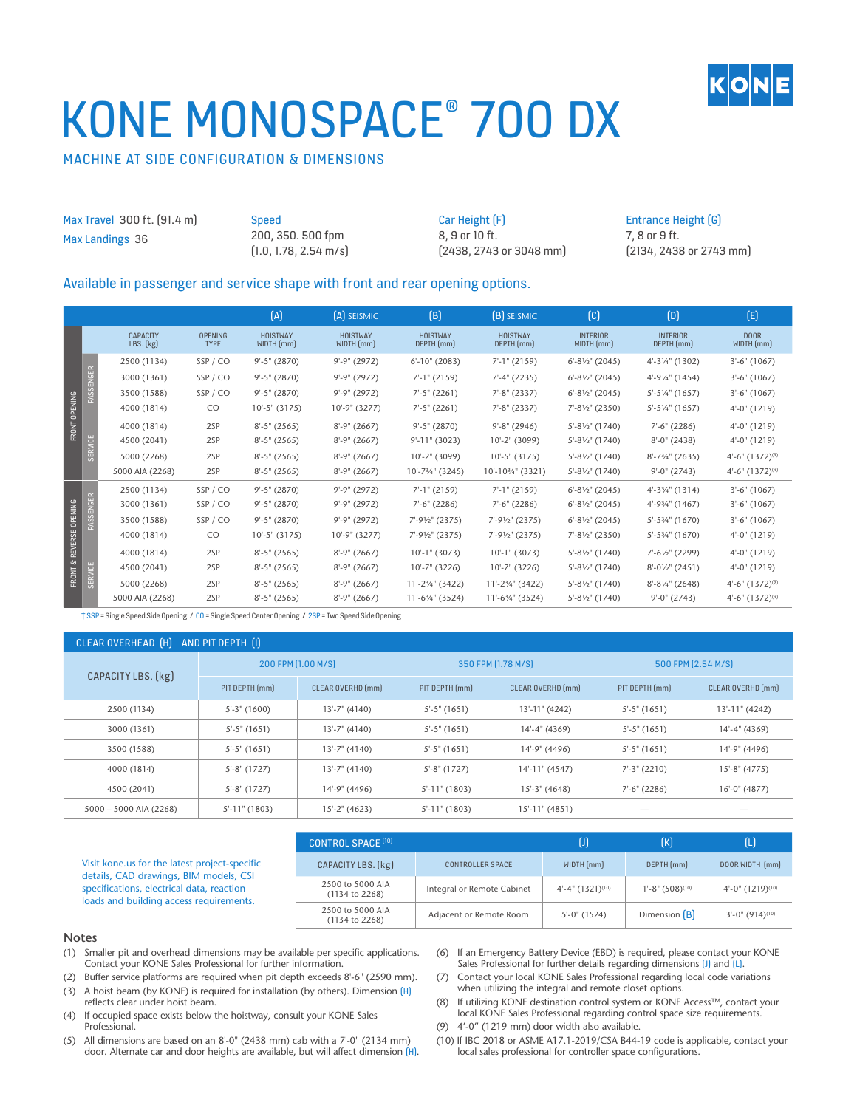

# KONE MONOSPACE® 700 DX

### MACHINE AT SIDE CONFIGURATION & DIMENSIONS

Max Travel 300 ft. (91.4 m) Max Landings 36

Speed 200, 350. 500 fpm (1.0, 1.78, 2.54 m/s) Car Height (F) 8, 9 or 10 ft. (2438, 2743 or 3048 mm)

#### Entrance Height (G) 7, 8 or 9 ft. (2134, 2438 or 2743 mm)

#### Available in passenger and service shape with front and rear opening options.

|                                       |                |                                  |                               | (A)                           | (A) SEISMIC                   | (B)                                     | <b>(B)</b> SEISMIC              | $\left( $                               | (D)                           | (E)                            |
|---------------------------------------|----------------|----------------------------------|-------------------------------|-------------------------------|-------------------------------|-----------------------------------------|---------------------------------|-----------------------------------------|-------------------------------|--------------------------------|
| FRONT OPENING                         |                | <b>CAPACITY</b><br>$LBS.$ $(kg)$ | <b>OPENING</b><br><b>TYPE</b> | <b>HOISTWAY</b><br>WIDTH (mm) | <b>HOISTWAY</b><br>WIDTH (mm) | <b>HOISTWAY</b><br>DEPTH (mm)           | <b>HOISTWAY</b><br>DEPTH (mm)   | <b>INTERIOR</b><br>WIDTH (mm)           | <b>INTERIOR</b><br>DEPTH (mm) | DOOR<br>WIDTH(mm)              |
|                                       | PASSENGER      | 2500 (1134)                      | SSP/CO                        | $9' - 5''$ (2870)             | $9' - 9'' (2972)$             | $6' - 10''$ (2083)                      | $7'$ -1" (2159)                 | $6' - 8\frac{1}{2}$ (2045)              | 4'-31/4" (1302)               | $3'-6''$ (1067)                |
|                                       |                | 3000 (1361)                      | SSP/CO                        | $9' - 5''$ (2870)             | $9' - 9'' (2972)$             | $7'$ -1" (2159)                         | $7' - 4'' (2235)$               | $6'-8\frac{1}{2}$ (2045)                | 4'-91/4" (1454)               | $3'-6''$ (1067)                |
|                                       |                | 3500 (1588)                      | SSP/CO                        | $9' - 5''$ (2870)             | $9' - 9'' (2972)$             | $7' - 5''$ (2261)                       | $7'-8''$ (2337)                 | $6'-8\frac{1}{2}$ (2045)                | $5' - 5\frac{1}{4}$ " (1657)  | $3'-6''$ (1067)                |
|                                       |                | 4000 (1814)                      | CO.                           | 10'-5" (3175)                 | 10'-9" (3277)                 | $7' - 5''$ (2261)                       | $7' - 8'' (2337)$               | $7' - 8\frac{1}{2}$ (2350)              | $5'$ -5¼" (1657)              | $4'-0''$ (1219)                |
|                                       | SERVICE        | 4000 (1814)                      | 2SP                           | $8'-5''$ (2565)               | $8'-9''$ (2667)               | $9' - 5''$ (2870)                       | $9' - 8''$ (2946)               | $5'-8\frac{1}{2}$ (1740)                | $7'-6''$ (2286)               | $4'-0''$ (1219)                |
|                                       |                | 4500 (2041)                      | 2SP                           | $8'-5''$ (2565)               | $8'-9''$ (2667)               | $9' - 11''$ (3023)                      | 10'-2" (3099)                   | 5'-81/2" (1740)                         | $8'-0''$ (2438)               | $4'-0''$ (1219)                |
|                                       |                | 5000 (2268)                      | 2SP                           | $8'-5''$ (2565)               | $8'-9''$ (2667)               | 10'-2" (3099)                           | $10^{\circ} - 5^{\circ}$ (3175) | $5'-8\frac{1}{2}$ (1740)                | $8'-7\frac{3}{4}$ " (2635)    | $4'-6''$ (1372) <sup>(9)</sup> |
|                                       |                | 5000 AIA (2268)                  | 2SP                           | $8'-5''$ (2565)               | $8'-9''$ (2667)               | 10'-73/4" (3245)                        | 10'-103/4" (3321)               | $5'-8\frac{1}{2}$ (1740)                | $9'-0''(2743)$                | $4'-6''$ (1372) <sup>(9)</sup> |
|                                       |                | 2500 (1134)                      | SSP/CO                        | $9' - 5''$ (2870)             | $9' - 9'' (2972)$             | $7'$ -1" (2159)                         | $7'$ -1" (2159)                 | $6'-8\frac{1}{2}$ (2045)                | 4'-33/4" (1314)               | $3'-6''$ (1067)                |
| REVERSE OPENING<br><b>FRONT &amp;</b> | PASSENGER      | 3000 (1361)                      | SSP/CO                        | $9' - 5''$ (2870)             | $9' - 9'' (2972)$             | $7'-6''$ (2286)                         | $7'-6''$ (2286)                 | $6'-8\frac{1}{2}$ (2045)                | 4'-93/4" (1467)               | $3'-6''$ (1067)                |
|                                       |                | 3500 (1588)                      | SSP/CO                        | $9'-5''$ (2870)               | $9' - 9'' (2972)$             | 7'-91/2" (2375)                         | 7'-91/2" (2375)                 | $6'-8\frac{1}{2}$ (2045)                | $5'-5\frac{3}{4}$ " (1670)    | $3'-6''$ (1067)                |
|                                       |                | 4000 (1814)                      | CO.                           | 10'-5" (3175)                 | $10' - 9'' (3277)$            | $7^{\prime}$ -91/ <sub>2</sub> " (2375) | 7'-91/2" (2375)                 | $7^{\prime}$ -81/ <sub>2</sub> " (2350) | $5'$ -53⁄4" (1670)            | $4'-0''$ (1219)                |
|                                       |                | 4000 (1814)                      | 2SP                           | $8'-5''$ (2565)               | $8'-9''$ (2667)               | $10'-1$ " (3073)                        | $10'-1$ " (3073)                | $5'-8\frac{1}{2}$ (1740)                | 7'-61/2" (2299)               | $4'-0''$ (1219)                |
|                                       |                | 4500 (2041)                      | 2SP                           | $8'-5''$ (2565)               | $8'-9''$ (2667)               | $10'-7''$ (3226)                        | $10'-7$ " (3226)                | $5'-8\frac{1}{2}$ (1740)                | $8'-0\frac{1}{2}$ (2451)      | $4'-0''$ (1219)                |
|                                       | <b>SERVICE</b> | 5000 (2268)                      | 2SP                           | $8'-5''$ (2565)               | $8'-9''$ (2667)               | 11'-23/4" (3422)                        | 11'-23/4" (3422)                | $5'-8\frac{1}{2}$ (1740)                | $8'-8\frac{1}{4}$ " (2648)    | $4'-6''$ (1372) <sup>(9)</sup> |
|                                       |                | 5000 AIA (2268)                  | 2SP                           | $8'-5''$ (2565)               | $8'-9''$ (2667)               | 11'-63/4" (3524)                        | $11'-6\frac{3}{4}$ " (3524)     | $5'-8\frac{1}{2}$ (1740)                | $9'-0''$ (2743)               | $4'-6''$ (1372) <sup>(9)</sup> |

† SSP = Single Speed Side Opening / CO = Single Speed Center Opening / 2SP = Two Speed Side Opening

| CLEAR OVERHEAD (H) AND PIT DEPTH (I) |                         |                    |                    |                    |                    |                    |  |  |
|--------------------------------------|-------------------------|--------------------|--------------------|--------------------|--------------------|--------------------|--|--|
|                                      | 200 FPM [1.00 M/S]      |                    |                    | 350 FPM [1.78 M/S] | 500 FPM (2.54 M/S) |                    |  |  |
| CAPACITY LBS. [kg]                   | PIT DEPTH (mm)          | CLEAR OVERHD (mm)  | PIT DEPTH (mm)     | CLEAR OVERHD (mm)  | PIT DEPTH (mm)     | CLEAR OVERHD (mm)  |  |  |
| 2500 (1134)                          | $5'-3''$ (1600)         | $13' - 7''$ (4140) | $5'-5''$ (1651)    | 13'-11" (4242)     | $5'-5''$ (1651)    | 13'-11" (4242)     |  |  |
| 3000 (1361)                          | $5^{\prime}$ -5" (1651) | 13'-7" (4140)      | $5'-5''$ (1651)    | 14'-4" (4369)      | $5'-5''$ (1651)    | 14'-4" (4369)      |  |  |
| 3500 (1588)                          | $5'-5''$ (1651)         | $13' - 7''$ (4140) | $5'-5''$ (1651)    | 14'-9" (4496)      | $5'-5''$ (1651)    | 14'-9" (4496)      |  |  |
| 4000 (1814)                          | $5'-8''$ (1727)         | $13' - 7''$ (4140) | $5'-8''$ (1727)    | 14'-11" (4547)     | $7'-3''$ (2210)    | $15' - 8'' (4775)$ |  |  |
| 4500 (2041)                          | $5'-8''$ (1727)         | 14'-9" (4496)      | $5'$ -11" (1803)   | 15'-3" (4648)      | $7'-6''$ (2286)    | $16'-0''$ (4877)   |  |  |
| $5000 - 5000$ AIA (2268)             | $5'$ -11" (1803)        | $15'-2''$ (4623)   | $5' - 11''$ (1803) | $15' - 11'$ (4851) |                    |                    |  |  |

|                                                                                         | <b>CONTROL SPACE [10]</b>          |                            |                                 | (K)                                 | lL)                             |
|-----------------------------------------------------------------------------------------|------------------------------------|----------------------------|---------------------------------|-------------------------------------|---------------------------------|
| Visit kone.us for the latest project-specific<br>details, CAD drawings, BIM models, CSI | CAPACITY LBS. [kg]                 | <b>CONTROLLER SPACE</b>    | WIDTH(mm)                       | DEPTH (mm)                          | DOOR WIDTH (mm)                 |
| specifications, electrical data, reaction<br>loads and building access requirements.    | 2500 to 5000 AIA<br>(1134 to 2268) | Integral or Remote Cabinet | $4'-4''$ (1321) <sup>(10)</sup> | $1'-8''$ (508) <sup>(10)</sup>      | $4'-0''$ (1219) <sup>(10)</sup> |
|                                                                                         | 2500 to 5000 AIA<br>(1134 to 2268) | Adjacent or Remote Room    | $5'-0''$ (1524)                 | Dimension $\left[\mathsf{B}\right]$ | $3'-0''$ (914) <sup>(10)</sup>  |

#### **Notes**

- (1) Smaller pit and overhead dimensions may be available per specific applications. Contact your KONE Sales Professional for further information.
- (2) Buffer service platforms are required when pit depth exceeds 8'-6" (2590 mm).
- (3) A hoist beam (by KONE) is required for installation (by others). Dimension (H) reflects clear under hoist beam.
- (4) If occupied space exists below the hoistway, consult your KONE Sales Professional.
- (5) All dimensions are based on an 8'-0" (2438 mm) cab with a 7'-0" (2134 mm) door. Alternate car and door heights are available, but will affect dimension (H).
- (6) If an Emergency Battery Device (EBD) is required, please contact your KONE Sales Professional for further details regarding dimensions [J] and [L].
- (7) Contact your local KONE Sales Professional regarding local code variations when utilizing the integral and remote closet options.
- (8) If utilizing KONE destination control system or KONE Access™, contact your local KONE Sales Professional regarding control space size requirements.
- (9) 4'-0" (1219 mm) door width also available.
- (10) If IBC 2018 or ASME A17.1-2019/CSA B44-19 code is applicable, contact your local sales professional for controller space configurations.